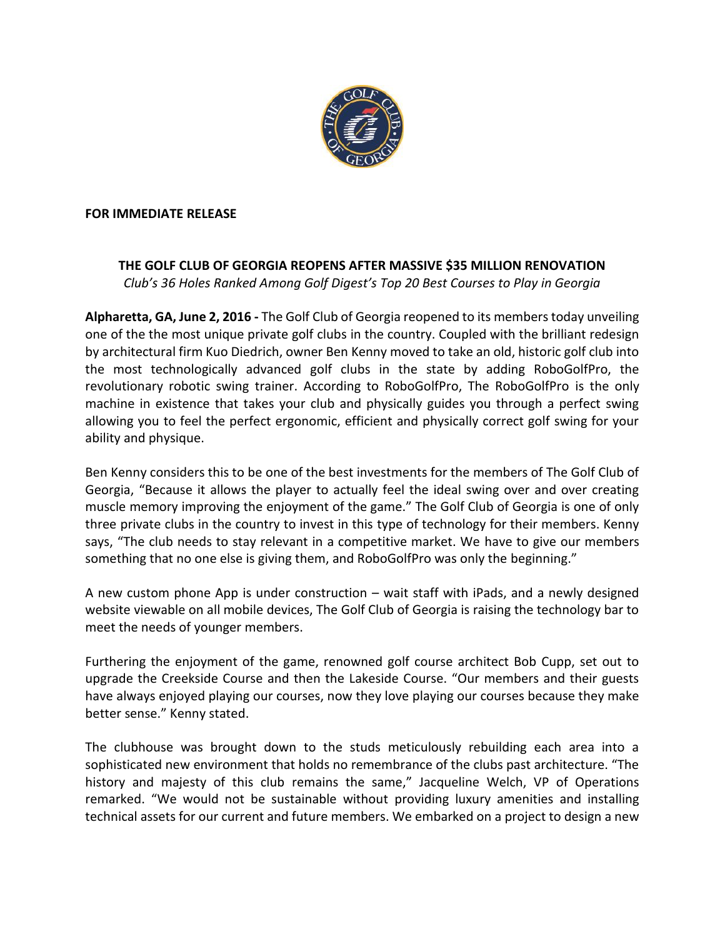

## **FOR IMMEDIATE RELEASE**

## **THE GOLF CLUB OF GEORGIA REOPENS AFTER MASSIVE \$35 MILLION RENOVATION** *Club's 36 Holes Ranked Among Golf Digest's Top 20 Best Courses to Play in Georgia*

**Alpharetta, GA, June 2, 2016 -** The Golf Club of Georgia reopened to its members today unveiling one of the the most unique private golf clubs in the country. Coupled with the brilliant redesign by architectural firm Kuo Diedrich, owner Ben Kenny moved to take an old, historic golf club into the most technologically advanced golf clubs in the state by adding RoboGolfPro, the revolutionary robotic swing trainer. According to RoboGolfPro, The RoboGolfPro is the only machine in existence that takes your club and physically guides you through a perfect swing allowing you to feel the perfect ergonomic, efficient and physically correct golf swing for your ability and physique.

Ben Kenny considers this to be one of the best investments for the members of The Golf Club of Georgia, "Because it allows the player to actually feel the ideal swing over and over creating muscle memory improving the enjoyment of the game." The Golf Club of Georgia is one of only three private clubs in the country to invest in this type of technology for their members. Kenny says, "The club needs to stay relevant in a competitive market. We have to give our members something that no one else is giving them, and RoboGolfPro was only the beginning."

A new custom phone App is under construction – wait staff with iPads, and a newly designed website viewable on all mobile devices, The Golf Club of Georgia is raising the technology bar to meet the needs of younger members.

Furthering the enjoyment of the game, renowned golf course architect Bob Cupp, set out to upgrade the Creekside Course and then the Lakeside Course. "Our members and their guests have always enjoyed playing our courses, now they love playing our courses because they make better sense." Kenny stated.

The clubhouse was brought down to the studs meticulously rebuilding each area into a sophisticated new environment that holds no remembrance of the clubs past architecture. "The history and majesty of this club remains the same," Jacqueline Welch, VP of Operations remarked. "We would not be sustainable without providing luxury amenities and installing technical assets for our current and future members. We embarked on a project to design a new